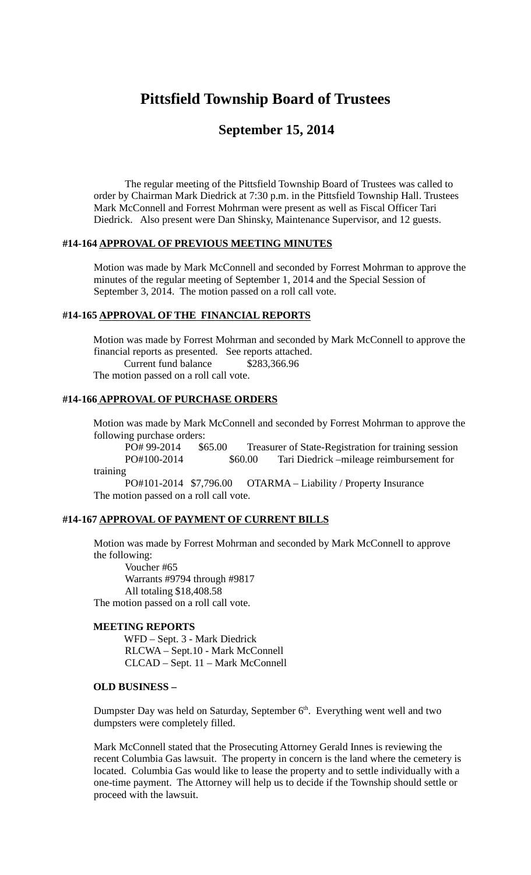# **Pittsfield Township Board of Trustees**

# **September 15, 2014**

The regular meeting of the Pittsfield Township Board of Trustees was called to order by Chairman Mark Diedrick at 7:30 p.m. in the Pittsfield Township Hall. Trustees Mark McConnell and Forrest Mohrman were present as well as Fiscal Officer Tari Diedrick. Also present were Dan Shinsky, Maintenance Supervisor, and 12 guests.

## **#14-164 APPROVAL OF PREVIOUS MEETING MINUTES**

Motion was made by Mark McConnell and seconded by Forrest Mohrman to approve the minutes of the regular meeting of September 1, 2014 and the Special Session of September 3, 2014. The motion passed on a roll call vote.

#### **#14-165 APPROVAL OF THE FINANCIAL REPORTS**

Motion was made by Forrest Mohrman and seconded by Mark McConnell to approve the financial reports as presented. See reports attached. Current fund balance \$283,366.96

The motion passed on a roll call vote.

#### **#14-166 APPROVAL OF PURCHASE ORDERS**

Motion was made by Mark McConnell and seconded by Forrest Mohrman to approve the following purchase orders:

PO# 99-2014 \$65.00 Treasurer of State-Registration for training session PO#100-2014 \$60.00 Tari Diedrick –mileage reimbursement for training

PO#101-2014 \$7,796.00 OTARMA – Liability / Property Insurance The motion passed on a roll call vote.

# **#14-167 APPROVAL OF PAYMENT OF CURRENT BILLS**

Motion was made by Forrest Mohrman and seconded by Mark McConnell to approve the following:

Voucher #65 Warrants #9794 through #9817 All totaling \$18,408.58 The motion passed on a roll call vote.

#### **MEETING REPORTS**

WFD – Sept. 3 - Mark Diedrick RLCWA – Sept.10 - Mark McConnell CLCAD – Sept. 11 – Mark McConnell

#### **OLD BUSINESS –**

Dumpster Day was held on Saturday, September 6<sup>th</sup>. Everything went well and two dumpsters were completely filled.

Mark McConnell stated that the Prosecuting Attorney Gerald Innes is reviewing the recent Columbia Gas lawsuit. The property in concern is the land where the cemetery is located. Columbia Gas would like to lease the property and to settle individually with a one-time payment. The Attorney will help us to decide if the Township should settle or proceed with the lawsuit.